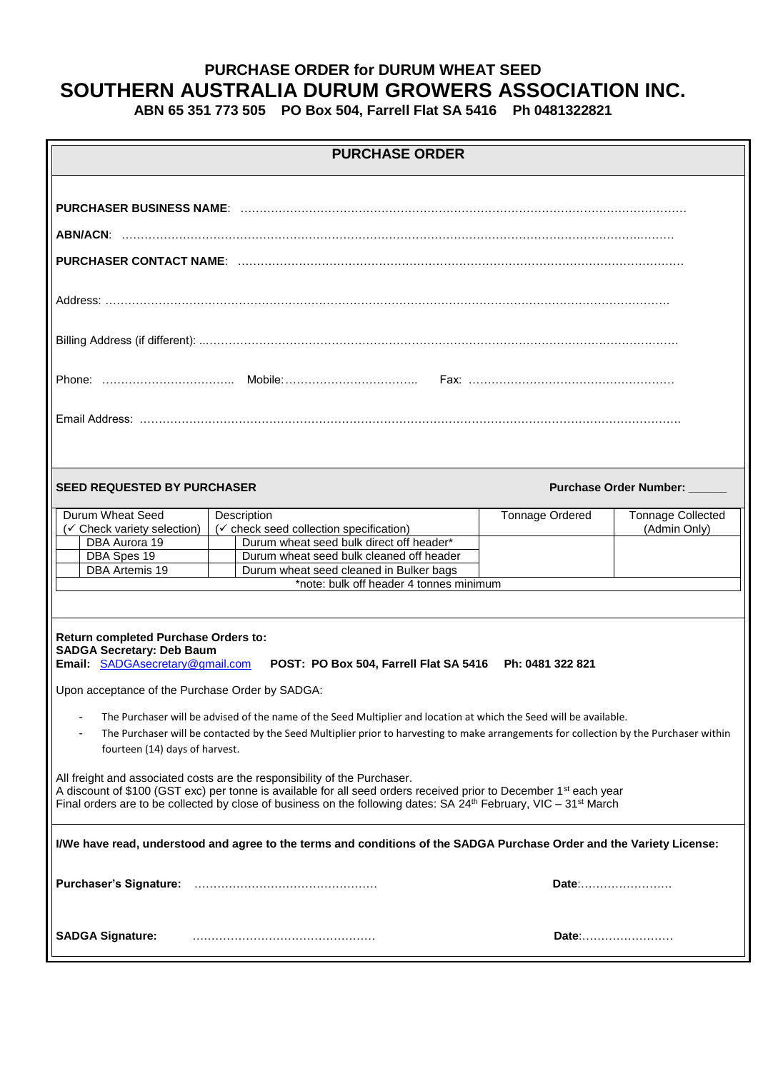# **PURCHASE ORDER for DURUM WHEAT SEED SOUTHERN AUSTRALIA DURUM GROWERS ASSOCIATION INC.**

**ABN 65 351 773 505 PO Box 504, Farrell Flat SA 5416 Ph 0481322821** 

| <b>PURCHASE ORDER</b>                                                                                                                                                                                                                                                                                                                                  |  |                                                                                                                    |                          |                                          |  |  |  |
|--------------------------------------------------------------------------------------------------------------------------------------------------------------------------------------------------------------------------------------------------------------------------------------------------------------------------------------------------------|--|--------------------------------------------------------------------------------------------------------------------|--------------------------|------------------------------------------|--|--|--|
|                                                                                                                                                                                                                                                                                                                                                        |  |                                                                                                                    |                          |                                          |  |  |  |
|                                                                                                                                                                                                                                                                                                                                                        |  |                                                                                                                    |                          |                                          |  |  |  |
|                                                                                                                                                                                                                                                                                                                                                        |  |                                                                                                                    |                          |                                          |  |  |  |
|                                                                                                                                                                                                                                                                                                                                                        |  |                                                                                                                    |                          |                                          |  |  |  |
|                                                                                                                                                                                                                                                                                                                                                        |  |                                                                                                                    |                          |                                          |  |  |  |
|                                                                                                                                                                                                                                                                                                                                                        |  |                                                                                                                    |                          |                                          |  |  |  |
|                                                                                                                                                                                                                                                                                                                                                        |  |                                                                                                                    |                          |                                          |  |  |  |
| <b>SEED REQUESTED BY PURCHASER</b>                                                                                                                                                                                                                                                                                                                     |  |                                                                                                                    | Purchase Order Number: _ |                                          |  |  |  |
| Durum Wheat Seed<br>(√ Check variety selection)                                                                                                                                                                                                                                                                                                        |  | Description<br>(√ check seed collection specification)                                                             | Tonnage Ordered          | <b>Tonnage Collected</b><br>(Admin Only) |  |  |  |
| DBA Aurora 19                                                                                                                                                                                                                                                                                                                                          |  | Durum wheat seed bulk direct off header*                                                                           |                          |                                          |  |  |  |
| DBA Spes 19                                                                                                                                                                                                                                                                                                                                            |  | Durum wheat seed bulk cleaned off header                                                                           |                          |                                          |  |  |  |
| <b>DBA Artemis 19</b>                                                                                                                                                                                                                                                                                                                                  |  | Durum wheat seed cleaned in Bulker bags                                                                            |                          |                                          |  |  |  |
| *note: bulk off header 4 tonnes minimum                                                                                                                                                                                                                                                                                                                |  |                                                                                                                    |                          |                                          |  |  |  |
|                                                                                                                                                                                                                                                                                                                                                        |  |                                                                                                                    |                          |                                          |  |  |  |
| Return completed Purchase Orders to:<br><b>SADGA Secretary: Deb Baum</b>                                                                                                                                                                                                                                                                               |  |                                                                                                                    |                          |                                          |  |  |  |
| Email: SADGAsecretary@gmail.com                                                                                                                                                                                                                                                                                                                        |  | POST: PO Box 504, Farrell Flat SA 5416 Ph: 0481 322 821                                                            |                          |                                          |  |  |  |
| Upon acceptance of the Purchase Order by SADGA:                                                                                                                                                                                                                                                                                                        |  |                                                                                                                    |                          |                                          |  |  |  |
| $\overline{\phantom{a}}$                                                                                                                                                                                                                                                                                                                               |  | The Purchaser will be advised of the name of the Seed Multiplier and location at which the Seed will be available. |                          |                                          |  |  |  |
| The Purchaser will be contacted by the Seed Multiplier prior to harvesting to make arrangements for collection by the Purchaser within<br>$\blacksquare$                                                                                                                                                                                               |  |                                                                                                                    |                          |                                          |  |  |  |
| fourteen (14) days of harvest.                                                                                                                                                                                                                                                                                                                         |  |                                                                                                                    |                          |                                          |  |  |  |
| All freight and associated costs are the responsibility of the Purchaser.<br>A discount of \$100 (GST exc) per tonne is available for all seed orders received prior to December 1 <sup>st</sup> each year<br>Final orders are to be collected by close of business on the following dates: SA 24 <sup>th</sup> February, VIC – 31 <sup>st</sup> March |  |                                                                                                                    |                          |                                          |  |  |  |
| I/We have read, understood and agree to the terms and conditions of the SADGA Purchase Order and the Variety License:                                                                                                                                                                                                                                  |  |                                                                                                                    |                          |                                          |  |  |  |
|                                                                                                                                                                                                                                                                                                                                                        |  |                                                                                                                    | Date:                    |                                          |  |  |  |
| <b>SADGA Signature:</b>                                                                                                                                                                                                                                                                                                                                |  |                                                                                                                    | Date:                    |                                          |  |  |  |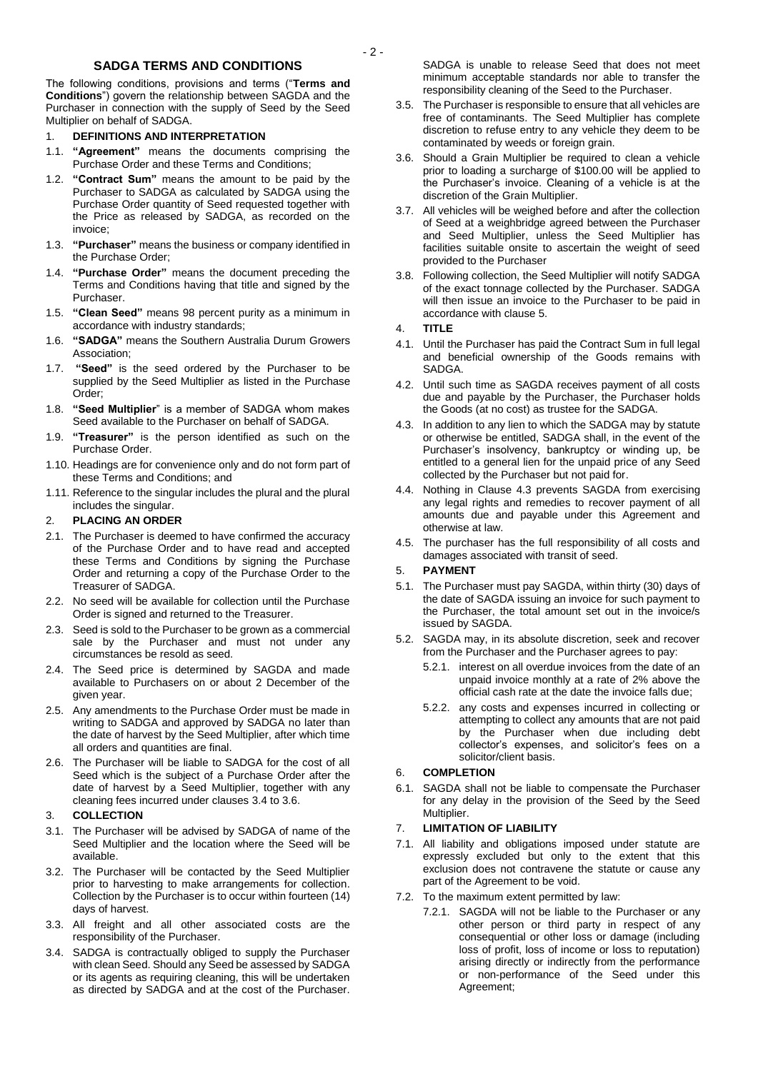## **SADGA TERMS AND CONDITIONS**

The following conditions, provisions and terms ("**Terms and Conditions**") govern the relationship between SAGDA and the Purchaser in connection with the supply of Seed by the Seed Multiplier on behalf of SADGA.

#### 1. **DEFINITIONS AND INTERPRETATION**

- 1.1. **"Agreement"** means the documents comprising the Purchase Order and these Terms and Conditions;
- 1.2. **"Contract Sum"** means the amount to be paid by the Purchaser to SADGA as calculated by SADGA using the Purchase Order quantity of Seed requested together with the Price as released by SADGA, as recorded on the invoice;
- 1.3. **"Purchaser"** means the business or company identified in the Purchase Order;
- 1.4. **"Purchase Order"** means the document preceding the Terms and Conditions having that title and signed by the Purchaser.
- 1.5. **"Clean Seed"** means 98 percent purity as a minimum in accordance with industry standards;
- 1.6. **"SADGA"** means the Southern Australia Durum Growers Association;
- 1.7. **"Seed"** is the seed ordered by the Purchaser to be supplied by the Seed Multiplier as listed in the Purchase Order;
- 1.8. **"Seed Multiplier**" is a member of SADGA whom makes Seed available to the Purchaser on behalf of SADGA.
- 1.9. **"Treasurer"** is the person identified as such on the Purchase Order.
- 1.10. Headings are for convenience only and do not form part of these Terms and Conditions; and
- 1.11. Reference to the singular includes the plural and the plural includes the singular.

#### 2. **PLACING AN ORDER**

- 2.1. The Purchaser is deemed to have confirmed the accuracy of the Purchase Order and to have read and accepted these Terms and Conditions by signing the Purchase Order and returning a copy of the Purchase Order to the Treasurer of SADGA.
- 2.2. No seed will be available for collection until the Purchase Order is signed and returned to the Treasurer.
- 2.3. Seed is sold to the Purchaser to be grown as a commercial sale by the Purchaser and must not under any circumstances be resold as seed.
- 2.4. The Seed price is determined by SAGDA and made available to Purchasers on or about 2 December of the given year.
- 2.5. Any amendments to the Purchase Order must be made in writing to SADGA and approved by SADGA no later than the date of harvest by the Seed Multiplier, after which time all orders and quantities are final.
- 2.6. The Purchaser will be liable to SADGA for the cost of all Seed which is the subject of a Purchase Order after the date of harvest by a Seed Multiplier, together with any cleaning fees incurred under clauses [3.4](#page-1-0) t[o 3.6.](#page-1-1)

#### 3. **COLLECTION**

- 3.1. The Purchaser will be advised by SADGA of name of the Seed Multiplier and the location where the Seed will be available.
- 3.2. The Purchaser will be contacted by the Seed Multiplier prior to harvesting to make arrangements for collection. Collection by the Purchaser is to occur within fourteen (14) days of harvest.
- 3.3. All freight and all other associated costs are the responsibility of the Purchaser.
- <span id="page-1-0"></span>3.4. SADGA is contractually obliged to supply the Purchaser with clean Seed. Should any Seed be assessed by SADGA or its agents as requiring cleaning, this will be undertaken as directed by SADGA and at the cost of the Purchaser.

SADGA is unable to release Seed that does not meet minimum acceptable standards nor able to transfer the responsibility cleaning of the Seed to the Purchaser.

- 3.5. The Purchaser is responsible to ensure that all vehicles are free of contaminants. The Seed Multiplier has complete discretion to refuse entry to any vehicle they deem to be contaminated by weeds or foreign grain.
- <span id="page-1-1"></span>3.6. Should a Grain Multiplier be required to clean a vehicle prior to loading a surcharge of \$100.00 will be applied to the Purchaser's invoice. Cleaning of a vehicle is at the discretion of the Grain Multiplier.
- 3.7. All vehicles will be weighed before and after the collection of Seed at a weighbridge agreed between the Purchaser and Seed Multiplier, unless the Seed Multiplier has facilities suitable onsite to ascertain the weight of seed provided to the Purchaser
- 3.8. Following collection, the Seed Multiplier will notify SADGA of the exact tonnage collected by the Purchaser. SADGA will then issue an invoice to the Purchaser to be paid in accordance with clause 5.
- 4. **TITLE**
- 4.1. Until the Purchaser has paid the Contract Sum in full legal and beneficial ownership of the Goods remains with SADGA.
- 4.2. Until such time as SAGDA receives payment of all costs due and payable by the Purchaser, the Purchaser holds the Goods (at no cost) as trustee for the SADGA.
- 4.3. In addition to any lien to which the SADGA may by statute or otherwise be entitled, SADGA shall, in the event of the Purchaser's insolvency, bankruptcy or winding up, be entitled to a general lien for the unpaid price of any Seed collected by the Purchaser but not paid for.
- 4.4. Nothing in Clause 4.3 prevents SAGDA from exercising any legal rights and remedies to recover payment of all amounts due and payable under this Agreement and otherwise at law.
- 4.5. The purchaser has the full responsibility of all costs and damages associated with transit of seed.

#### 5. **PAYMENT**

- 5.1. The Purchaser must pay SAGDA, within thirty (30) days of the date of SAGDA issuing an invoice for such payment to the Purchaser, the total amount set out in the invoice/s issued by SAGDA.
- 5.2. SAGDA may, in its absolute discretion, seek and recover from the Purchaser and the Purchaser agrees to pay:
	- 5.2.1. interest on all overdue invoices from the date of an unpaid invoice monthly at a rate of 2% above the official cash rate at the date the invoice falls due;
	- 5.2.2. any costs and expenses incurred in collecting or attempting to collect any amounts that are not paid by the Purchaser when due including debt collector's expenses, and solicitor's fees on a solicitor/client basis.

#### 6. **COMPLETION**

6.1. SAGDA shall not be liable to compensate the Purchaser for any delay in the provision of the Seed by the Seed Multiplier.

#### 7. **LIMITATION OF LIABILITY**

- 7.1. All liability and obligations imposed under statute are expressly excluded but only to the extent that this exclusion does not contravene the statute or cause any part of the Agreement to be void.
- 7.2. To the maximum extent permitted by law:
	- 7.2.1. SAGDA will not be liable to the Purchaser or any other person or third party in respect of any consequential or other loss or damage (including loss of profit, loss of income or loss to reputation) arising directly or indirectly from the performance or non-performance of the Seed under this Agreement;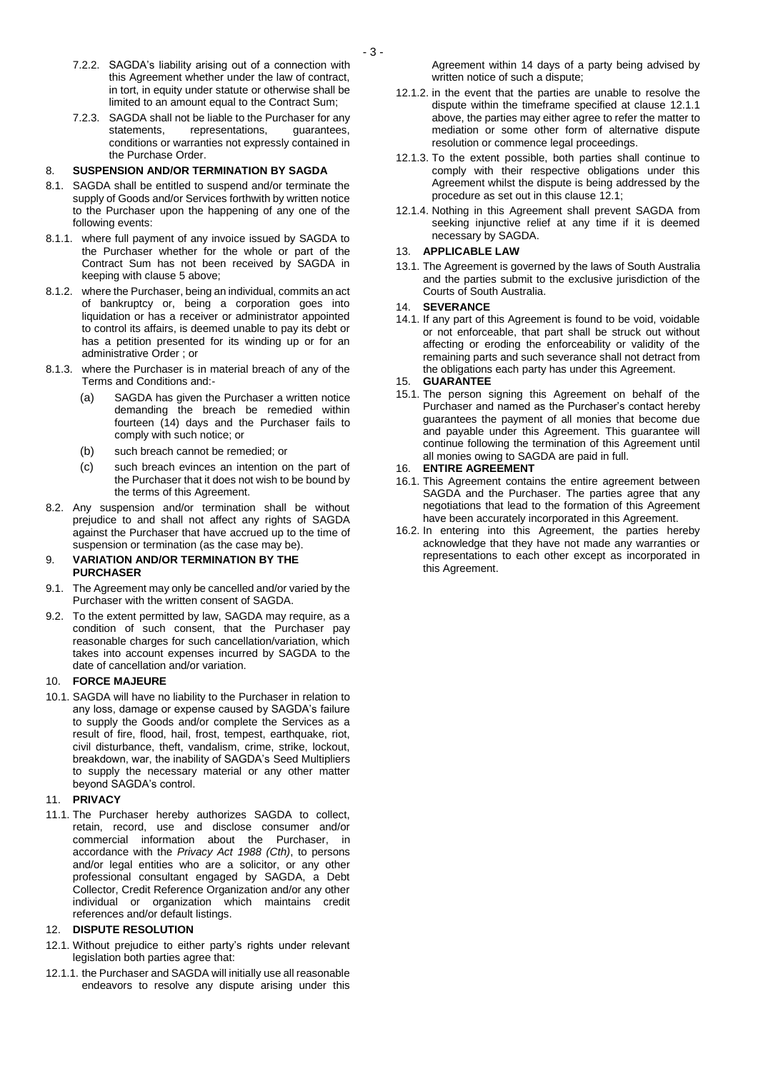- 7.2.2. SAGDA's liability arising out of a connection with this Agreement whether under the law of contract, in tort, in equity under statute or otherwise shall be limited to an amount equal to the Contract Sum;
- 7.2.3. SAGDA shall not be liable to the Purchaser for any<br>statements, representations, guarantees, representations, conditions or warranties not expressly contained in the Purchase Order.

#### 8. **SUSPENSION AND/OR TERMINATION BY SAGDA**

- 8.1. SAGDA shall be entitled to suspend and/or terminate the supply of Goods and/or Services forthwith by written notice to the Purchaser upon the happening of any one of the following events:
- 8.1.1. where full payment of any invoice issued by SAGDA to the Purchaser whether for the whole or part of the Contract Sum has not been received by SAGDA in keeping with clause 5 above;
- 8.1.2. where the Purchaser, being an individual, commits an act of bankruptcy or, being a corporation goes into liquidation or has a receiver or administrator appointed to control its affairs, is deemed unable to pay its debt or has a petition presented for its winding up or for an administrative Order ; or
- 8.1.3. where the Purchaser is in material breach of any of the Terms and Conditions and:-
	- (a) SAGDA has given the Purchaser a written notice demanding the breach be remedied within fourteen (14) days and the Purchaser fails to comply with such notice; or
	- (b) such breach cannot be remedied; or
	- (c) such breach evinces an intention on the part of the Purchaser that it does not wish to be bound by the terms of this Agreement.
- 8.2. Any suspension and/or termination shall be without prejudice to and shall not affect any rights of SAGDA against the Purchaser that have accrued up to the time of suspension or termination (as the case may be).

#### 9. **VARIATION AND/OR TERMINATION BY THE PURCHASER**

- 9.1. The Agreement may only be cancelled and/or varied by the Purchaser with the written consent of SAGDA.
- 9.2. To the extent permitted by law, SAGDA may require, as a condition of such consent, that the Purchaser pay reasonable charges for such cancellation/variation, which takes into account expenses incurred by SAGDA to the date of cancellation and/or variation.

#### 10. **FORCE MAJEURE**

10.1. SAGDA will have no liability to the Purchaser in relation to any loss, damage or expense caused by SAGDA's failure to supply the Goods and/or complete the Services as a result of fire, flood, hail, frost, tempest, earthquake, riot, civil disturbance, theft, vandalism, crime, strike, lockout, breakdown, war, the inability of SAGDA's Seed Multipliers to supply the necessary material or any other matter beyond SAGDA's control.

#### 11. **PRIVACY**

11.1. The Purchaser hereby authorizes SAGDA to collect, retain, record, use and disclose consumer and/or commercial information about the Purchaser, in accordance with the *Privacy Act 1988 (Cth)*, to persons and/or legal entities who are a solicitor, or any other professional consultant engaged by SAGDA, a Debt Collector, Credit Reference Organization and/or any other individual or organization which maintains credit references and/or default listings.

#### 12. **DISPUTE RESOLUTION**

- 12.1. Without prejudice to either party's rights under relevant legislation both parties agree that:
- 12.1.1. the Purchaser and SAGDA will initially use all reasonable endeavors to resolve any dispute arising under this

Agreement within 14 days of a party being advised by written notice of such a dispute;

- 12.1.2. in the event that the parties are unable to resolve the dispute within the timeframe specified at clause 12.1.1 above, the parties may either agree to refer the matter to mediation or some other form of alternative dispute resolution or commence legal proceedings.
- 12.1.3. To the extent possible, both parties shall continue to comply with their respective obligations under this Agreement whilst the dispute is being addressed by the procedure as set out in this clause 12.1;
- 12.1.4. Nothing in this Agreement shall prevent SAGDA from seeking injunctive relief at any time if it is deemed necessary by SAGDA.

#### 13. **APPLICABLE LAW**

13.1. The Agreement is governed by the laws of South Australia and the parties submit to the exclusive jurisdiction of the Courts of South Australia.

#### 14. **SEVERANCE**

14.1. If any part of this Agreement is found to be void, voidable or not enforceable, that part shall be struck out without affecting or eroding the enforceability or validity of the remaining parts and such severance shall not detract from the obligations each party has under this Agreement.

#### 15. **GUARANTEE**

15.1. The person signing this Agreement on behalf of the Purchaser and named as the Purchaser's contact hereby guarantees the payment of all monies that become due and payable under this Agreement. This guarantee will continue following the termination of this Agreement until all monies owing to SAGDA are paid in full.

#### 16. **ENTIRE AGREEMENT**

- 16.1. This Agreement contains the entire agreement between SAGDA and the Purchaser. The parties agree that any negotiations that lead to the formation of this Agreement have been accurately incorporated in this Agreement.
- 16.2. In entering into this Agreement, the parties hereby acknowledge that they have not made any warranties or representations to each other except as incorporated in this Agreement.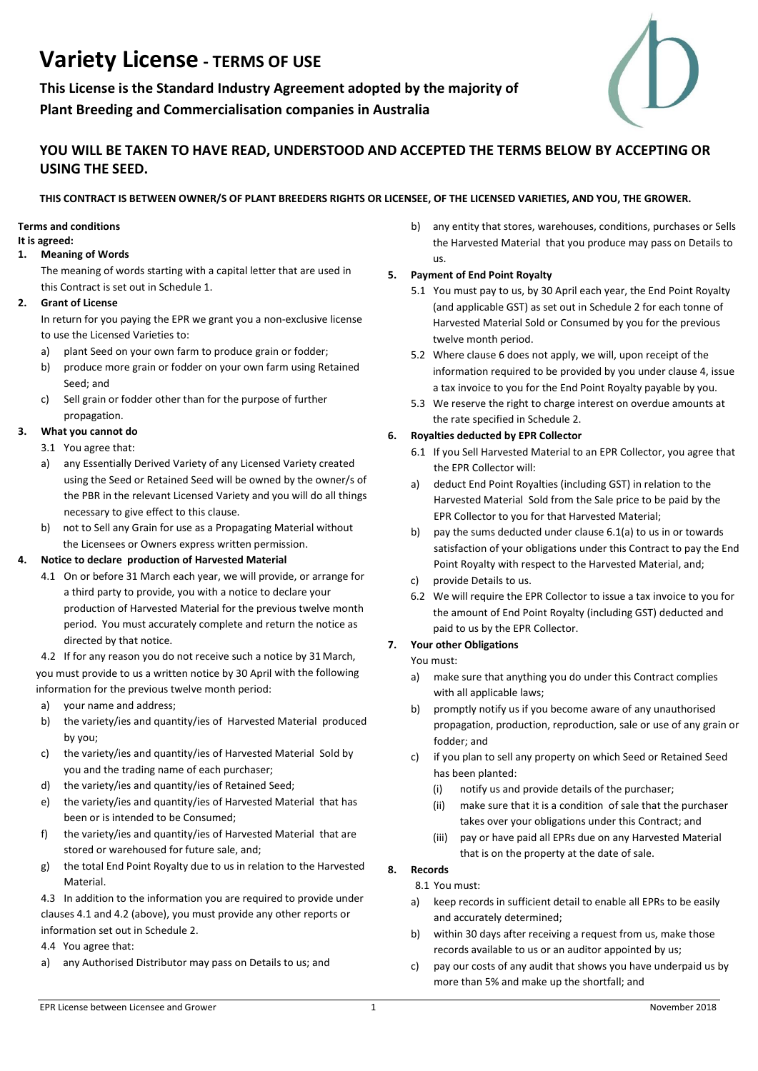# **Variety License - TERMS OF USE**

**This License is the Standard Industry Agreement adopted by the majority of Plant Breeding and Commercialisation companies in Australia**



# **YOU WILL BE TAKEN TO HAVE READ, UNDERSTOOD AND ACCEPTED THE TERMS BELOW BY ACCEPTING OR USING THE SEED.**

## **THIS CONTRACT IS BETWEEN OWNER/S OF PLANT BREEDERS RIGHTS OR LICENSEE, OF THE LICENSED VARIETIES, AND YOU, THE GROWER.**

## **Terms and conditions**

#### **It is agreed:**

## **1. Meaning of Words**

The meaning of words starting with a capital letter that are used in this Contract is set out in Schedule 1.

#### **2. Grant of License**

In return for you paying the EPR we grant you a non-exclusive license to use the Licensed Varieties to:

- a) plant Seed on your own farm to produce grain or fodder;
- b) produce more grain or fodder on your own farm using Retained Seed; and
- c) Sell grain or fodder other than for the purpose of further propagation.

## **3. What you cannot do**

- 3.1 You agree that:
- a) any Essentially Derived Variety of any Licensed Variety created using the Seed or Retained Seed will be owned by the owner/s of the PBR in the relevant Licensed Variety and you will do all things necessary to give effect to this clause.
- b) not to Sell any Grain for use as a Propagating Material without the Licensees or Owners express written permission.

## **4. Notice to declare production of Harvested Material**

4.1 On or before 31 March each year, we will provide, or arrange for a third party to provide, you with a notice to declare your production of Harvested Material for the previous twelve month period. You must accurately complete and return the notice as directed by that notice.

 4.2 If for any reason you do not receive such a notice by 31 March, you must provide to us a written notice by 30 April with the following information for the previous twelve month period:

- a) your name and address;
- b) the variety/ies and quantity/ies of Harvested Material produced by you;
- c) the variety/ies and quantity/ies of Harvested Material Sold by you and the trading name of each purchaser;
- d) the variety/ies and quantity/ies of Retained Seed;
- e) the variety/ies and quantity/ies of Harvested Material that has been or is intended to be Consumed;
- f) the variety/ies and quantity/ies of Harvested Material that are stored or warehoused for future sale, and;
- g) the total End Point Royalty due to us in relation to the Harvested **Material**

4.3 In addition to the information you are required to provide under clauses 4.1 and 4.2 (above), you must provide any other reports or information set out in Schedule 2.

4.4 You agree that:

a) any Authorised Distributor may pass on Details to us; and

 b) any entity that stores, warehouses, conditions, purchases or Sells the Harvested Material that you produce may pass on Details to us.

## **5. Payment of End Point Royalty**

- 5.1 You must pay to us, by 30 April each year, the End Point Royalty (and applicable GST) as set out in Schedule 2 for each tonne of Harvested Material Sold or Consumed by you for the previous twelve month period.
- 5.2 Where clause 6 does not apply, we will, upon receipt of the information required to be provided by you under clause 4, issue a tax invoice to you for the End Point Royalty payable by you.
- 5.3 We reserve the right to charge interest on overdue amounts at the rate specified in Schedule 2.

## **6. Royalties deducted by EPR Collector**

- 6.1 If you Sell Harvested Material to an EPR Collector, you agree that the EPR Collector will:
- a) deduct End Point Royalties (including GST) in relation to the Harvested Material Sold from the Sale price to be paid by the EPR Collector to you for that Harvested Material;
- b) pay the sums deducted under clause 6.1(a) to us in or towards satisfaction of your obligations under this Contract to pay the End Point Royalty with respect to the Harvested Material, and;
- c) provide Details to us.
- 6.2 We will require the EPR Collector to issue a tax invoice to you for the amount of End Point Royalty (including GST) deducted and paid to us by the EPR Collector.

## **7. Your other Obligations**

- You must:
- a) make sure that anything you do under this Contract complies with all applicable laws;
- b) promptly notify us if you become aware of any unauthorised propagation, production, reproduction, sale or use of any grain or fodder; and
- c) if you plan to sell any property on which Seed or Retained Seed has been planted:
	- (i) notify us and provide details of the purchaser;
	- (ii) make sure that it is a condition of sale that the purchaser takes over your obligations under this Contract; and
	- (iii) pay or have paid all EPRs due on any Harvested Material that is on the property at the date of sale.

## **8. Records**

- 8.1 You must:
- a) keep records in sufficient detail to enable all EPRs to be easily and accurately determined;
- b) within 30 days after receiving a request from us, make those records available to us or an auditor appointed by us;
- c) pay our costs of any audit that shows you have underpaid us by more than 5% and make up the shortfall; and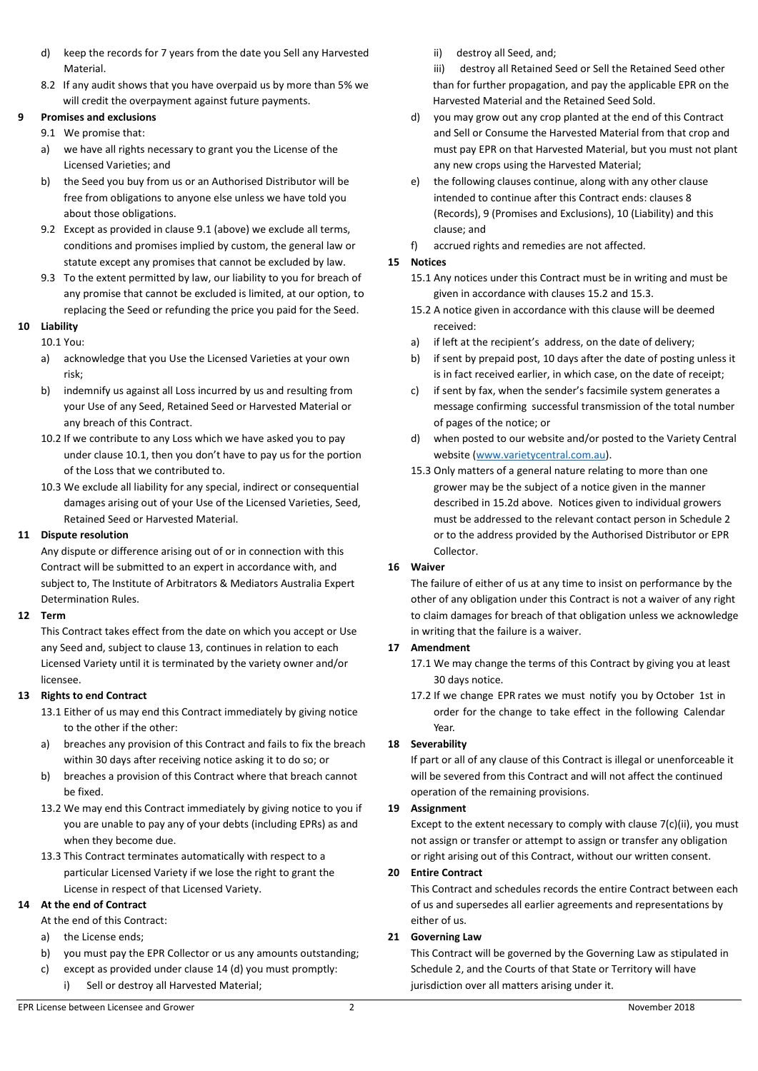- d) keep the records for 7 years from the date you Sell any Harvested Material.
- 8.2 If any audit shows that you have overpaid us by more than 5% we will credit the overpayment against future payments.

## **9 Promises and exclusions**

- 9.1 We promise that:
- a) we have all rights necessary to grant you the License of the Licensed Varieties; and
- b) the Seed you buy from us or an Authorised Distributor will be free from obligations to anyone else unless we have told you about those obligations.
- 9.2 Except as provided in clause 9.1 (above) we exclude all terms, conditions and promises implied by custom, the general law or statute except any promises that cannot be excluded by law.
- 9.3 To the extent permitted by law, our liability to you for breach of any promise that cannot be excluded is limited, at our option, to replacing the Seed or refunding the price you paid for the Seed.

## **10 Liability**

10.1 You:

- a) acknowledge that you Use the Licensed Varieties at your own risk;
- b) indemnify us against all Loss incurred by us and resulting from your Use of any Seed, Retained Seed or Harvested Material or any breach of this Contract.
- 10.2 If we contribute to any Loss which we have asked you to pay under clause 10.1, then you don't have to pay us for the portion of the Loss that we contributed to.
- 10.3 We exclude all liability for any special, indirect or consequential damages arising out of your Use of the Licensed Varieties, Seed, Retained Seed or Harvested Material.

## **11 Dispute resolution**

Any dispute or difference arising out of or in connection with this Contract will be submitted to an expert in accordance with, and subject to, The Institute of Arbitrators & Mediators Australia Expert Determination Rules.

#### **12 Term**

This Contract takes effect from the date on which you accept or Use any Seed and, subject to clause 13, continues in relation to each Licensed Variety until it is terminated by the variety owner and/or licensee.

## **13 Rights to end Contract**

- 13.1 Either of us may end this Contract immediately by giving notice to the other if the other:
- a) breaches any provision of this Contract and fails to fix the breach within 30 days after receiving notice asking it to do so; or
- b) breaches a provision of this Contract where that breach cannot be fixed.
- 13.2 We may end this Contract immediately by giving notice to you if you are unable to pay any of your debts (including EPRs) as and when they become due.
- 13.3 This Contract terminates automatically with respect to a particular Licensed Variety if we lose the right to grant the License in respect of that Licensed Variety.

## **14 At the end of Contract**

At the end of this Contract:

- a) the License ends;
- b) you must pay the EPR Collector or us any amounts outstanding;
- c) except as provided under clause 14 (d) you must promptly:
	- i) Sell or destroy all Harvested Material;

ii) destroy all Seed, and;

iii) destroy all Retained Seed or Sell the Retained Seed other than for further propagation, and pay the applicable EPR on the Harvested Material and the Retained Seed Sold.

- d) you may grow out any crop planted at the end of this Contract and Sell or Consume the Harvested Material from that crop and must pay EPR on that Harvested Material, but you must not plant any new crops using the Harvested Material;
- e) the following clauses continue, along with any other clause intended to continue after this Contract ends: clauses 8 (Records), 9 (Promises and Exclusions), 10 (Liability) and this clause; and
- f) accrued rights and remedies are not affected.

## **15 Notices**

- 15.1 Any notices under this Contract must be in writing and must be given in accordance with clauses 15.2 and 15.3.
- 15.2 A notice given in accordance with this clause will be deemed received:
- a) if left at the recipient's address, on the date of delivery;
- b) if sent by prepaid post, 10 days after the date of posting unless it is in fact received earlier, in which case, on the date of receipt;
- c) if sent by fax, when the sender's facsimile system generates a message confirming successful transmission of the total number of pages of the notice; or
- d) when posted to our website and/or posted to the Variety Central website [\(www.varietycentral.com.au\)](http://www.varietycentral.com.au/).
- 15.3 Only matters of a general nature relating to more than one grower may be the subject of a notice given in the manner described in 15.2d above. Notices given to individual growers must be addressed to the relevant contact person in Schedule 2 or to the address provided by the Authorised Distributor or EPR Collector.

## **16 Waiver**

The failure of either of us at any time to insist on performance by the other of any obligation under this Contract is not a waiver of any right to claim damages for breach of that obligation unless we acknowledge in writing that the failure is a waiver.

## **17 Amendment**

- 17.1 We may change the terms of this Contract by giving you at least 30 days notice.
- 17.2 If we change EPR rates we must notify you by October 1st in order for the change to take effect in the following Calendar Year.

## **18 Severability**

If part or all of any clause of this Contract is illegal or unenforceable it will be severed from this Contract and will not affect the continued operation of the remaining provisions.

#### **19 Assignment**

Except to the extent necessary to comply with clause 7(c)(ii), you must not assign or transfer or attempt to assign or transfer any obligation or right arising out of this Contract, without our written consent.

#### **20 Entire Contract**

This Contract and schedules records the entire Contract between each of us and supersedes all earlier agreements and representations by either of us.

## **21 Governing Law**

This Contract will be governed by the Governing Law as stipulated in Schedule 2, and the Courts of that State or Territory will have jurisdiction over all matters arising under it.